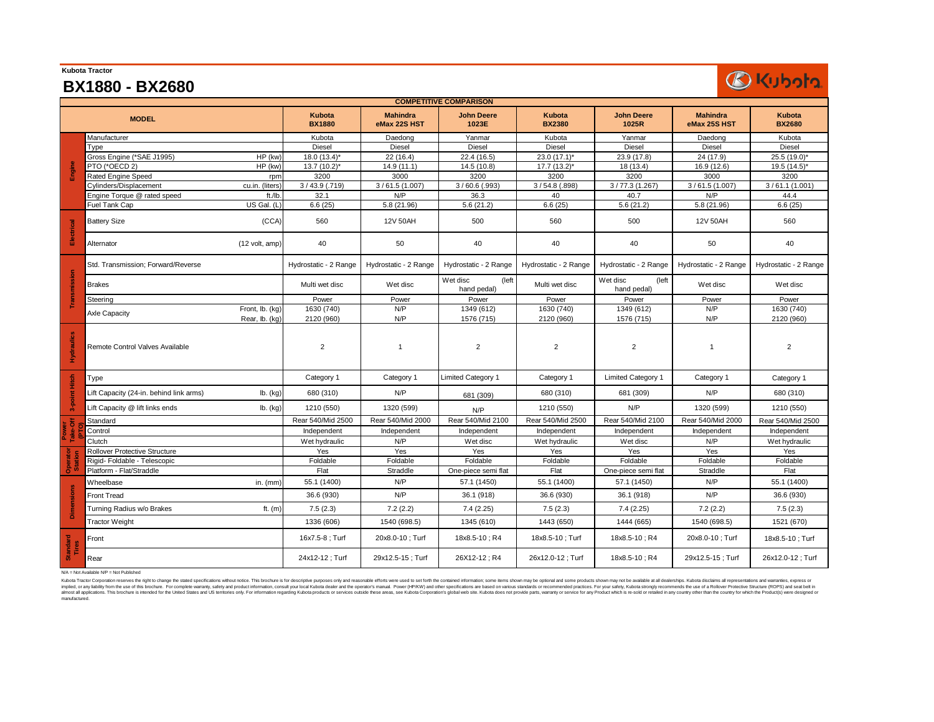| <b>Kubota Tractor</b> |                                                     |                         |                                 |                                  |                         |                                  |                                 |                                                                                                                                                                                                                                                                                                                          |
|-----------------------|-----------------------------------------------------|-------------------------|---------------------------------|----------------------------------|-------------------------|----------------------------------|---------------------------------|--------------------------------------------------------------------------------------------------------------------------------------------------------------------------------------------------------------------------------------------------------------------------------------------------------------------------|
|                       | <b>BX1880 - BX2680</b>                              |                         |                                 |                                  |                         |                                  |                                 |                                                                                                                                                                                                                                                                                                                          |
|                       |                                                     |                         |                                 | <b>COMPETITIVE COMPARISON</b>    |                         |                                  |                                 |                                                                                                                                                                                                                                                                                                                          |
|                       | <b>MODEL</b>                                        | Kubota<br><b>BX1880</b> | <b>Mahindra</b><br>eMax 22S HST | <b>John Deere</b><br>1023E       | Kubota<br><b>BX2380</b> | <b>John Deere</b><br>1025R       | <b>Mahindra</b><br>eMax 25S HST | Kubota<br><b>BX2680</b>                                                                                                                                                                                                                                                                                                  |
|                       | Manufacturer                                        | Kubota                  | Daedong                         | Yanmar                           | Kubota                  | Yanmar                           | Daedong                         | Kubota                                                                                                                                                                                                                                                                                                                   |
|                       | Tvpe                                                | <b>Diesel</b>           | Diesel                          | Diesel                           | Diesel                  | Diesel                           | Diesel                          | Diesel                                                                                                                                                                                                                                                                                                                   |
|                       | Gross Engine (*SAE J1995)<br>HP (kw)                | $18.0(13.4)$ *          | 22 (16.4)                       | 22.4 (16.5)                      | 23.0 $(17.1)^*$         | 23.9 (17.8)                      | 24 (17.9)                       | 25.5 (19.0)*                                                                                                                                                                                                                                                                                                             |
| Engine                | PTO (*OECD 2)<br>HP (kw)                            | $13.7(10.2)^{*}$        | 14.9 (11.1)                     | 14.5 (10.8)                      | $17.7(13.2)^{*}$        | 18 (13.4)                        | 16.9 (12.6)                     | 19.5 (14.5)*                                                                                                                                                                                                                                                                                                             |
|                       | Rated Engine Speed                                  | 3200<br>rpm             | 3000                            | 3200                             | 3200                    | 3200                             | 3000                            |                                                                                                                                                                                                                                                                                                                          |
|                       | Cylinders/Displacement<br>cu.in. (liters)           | $3/43.9$ (.719)         | 3/61.5(1.007)                   | $3/60.6$ (.993)                  | $3/54.8$ (.898)         | 3/77.3(1.267)                    | 3/61.5(1.007)                   |                                                                                                                                                                                                                                                                                                                          |
|                       | Engine Torque @ rated speed<br>ft./lb               | 32.1                    | N/P                             | 36.3                             | 40                      | 40.7                             | N/P                             |                                                                                                                                                                                                                                                                                                                          |
|                       | Fuel Tank Cap<br>US Gal. (L)                        | 6.6(25)                 | 5.8 (21.96)                     | 5.6(21.2)                        | 6.6(25)                 | 5.6(21.2)                        | 5.8 (21.96)                     | <b>BKubota</b><br>3200<br>3/61.1(1.001)<br>44.4<br>6.6(25)<br>560<br>40<br>Wet disc<br>Power<br>1630 (740)<br>2120 (960)<br>$\overline{2}$<br>Category 1<br>680 (310)<br>1210 (550)<br>Independent<br>Wet hydraulic<br>Yes<br>Foldable<br>Flat<br>55.1 (1400)<br>36.6 (930)<br>7.5(2.3)<br>1521 (670)<br>18x8.5-10; Turf |
| Electrical            | <b>Battery Size</b><br>(CCA)                        | 560                     | 12V 50AH                        | 500                              | 560                     | 500                              | 12V 50AH                        |                                                                                                                                                                                                                                                                                                                          |
|                       | (12 volt, amp)<br>Alternator                        | 40                      | 50                              | 40                               | 40                      | 40                               | 50                              |                                                                                                                                                                                                                                                                                                                          |
|                       | Std. Transmission; Forward/Reverse                  | Hydrostatic - 2 Range   | Hydrostatic - 2 Range           | Hydrostatic - 2 Range            | Hydrostatic - 2 Range   | Hydrostatic - 2 Range            | Hydrostatic - 2 Range           | Hydrostatic - 2 Range                                                                                                                                                                                                                                                                                                    |
| Transmission          | <b>Brakes</b>                                       | Multi wet disc          | Wet disc                        | Wet disc<br>(left<br>hand pedal) | Multi wet disc          | Wet disc<br>(left<br>hand pedal) | Wet disc                        |                                                                                                                                                                                                                                                                                                                          |
|                       | Steering                                            | Power                   | Power                           | Power                            | Power                   | Power                            | Power                           |                                                                                                                                                                                                                                                                                                                          |
|                       | Front, lb. (kg)<br><b>Axle Capacity</b>             | 1630 (740)              | N/P                             | 1349 (612)                       | 1630 (740)              | 1349 (612)                       | N/P                             |                                                                                                                                                                                                                                                                                                                          |
|                       | Rear, lb. (kg)                                      | 2120 (960)              | N/P                             | 1576 (715)                       | 2120 (960)              | 1576 (715)                       | N/P                             |                                                                                                                                                                                                                                                                                                                          |
| Hydraulics            | Remote Control Valves Available                     | $\overline{2}$          | $\overline{1}$                  | $\overline{2}$                   | $\overline{c}$          | $\overline{2}$                   | $\overline{1}$                  |                                                                                                                                                                                                                                                                                                                          |
|                       | Type                                                | Category 1              | Category 1                      | <b>Limited Category 1</b>        | Category 1              | <b>Limited Category 1</b>        | Category 1                      |                                                                                                                                                                                                                                                                                                                          |
| 3-point Hitch         | Lift Capacity (24-in. behind link arms)<br>lb. (kg) | 680 (310)               | N/P                             | 681 (309)                        | 680 (310)               | 681 (309)                        | N/P                             |                                                                                                                                                                                                                                                                                                                          |
|                       | Lift Capacity @ lift links ends<br>lb. (kg)         | 1210 (550)              | 1320 (599)                      | N/P                              | 1210 (550)              | N/P                              | 1320 (599)                      |                                                                                                                                                                                                                                                                                                                          |
|                       | Standard                                            | Rear 540/Mid 2500       | Rear 540/Mid 2000               | Rear 540/Mid 2100                | Rear 540/Mid 2500       | Rear 540/Mid 2100                | Rear 540/Mid 2000               |                                                                                                                                                                                                                                                                                                                          |
|                       | Control                                             | Independent             | Independent                     | Independent                      | Independent             | Independent                      | Independent                     |                                                                                                                                                                                                                                                                                                                          |
|                       | Clutch                                              | Wet hydraulic           | N/P                             | Wet disc                         | Wet hydraulic           | Wet disc                         | N/P                             |                                                                                                                                                                                                                                                                                                                          |
|                       | Rollover Protective Structure                       | Yes                     | Yes                             | Yes                              | Yes                     | Yes                              | Yes                             |                                                                                                                                                                                                                                                                                                                          |
| Operato               | Rigid- Foldable - Telescopic                        | Foldable                | Foldable                        | Foldable                         | Foldable                | Foldable                         | Foldable                        |                                                                                                                                                                                                                                                                                                                          |
|                       | Platform - Flat/Straddle                            | Flat                    | Straddle                        | One-piece semi flat              | Flat                    | One-piece semi flat              | Straddle                        | Rear 540/Mid 2500<br>26x12.0-12 ; Turf                                                                                                                                                                                                                                                                                   |
|                       | Wheelbase<br>in. $(mm)$                             | 55.1 (1400)             | N/P                             | 57.1 (1450)                      | 55.1 (1400)             | 57.1 (1450)                      | N/P                             |                                                                                                                                                                                                                                                                                                                          |
|                       | <b>Front Tread</b>                                  | 36.6 (930)              | N/P                             | 36.1 (918)                       | 36.6 (930)              | 36.1 (918)                       | N/P                             |                                                                                                                                                                                                                                                                                                                          |
| <b>Dimensions</b>     | Turning Radius w/o Brakes<br>ft. $(m)$              | 7.5(2.3)                | 7.2(2.2)                        | 7.4(2.25)                        | 7.5(2.3)                | 7.4(2.25)                        | 7.2(2.2)                        |                                                                                                                                                                                                                                                                                                                          |
|                       | <b>Tractor Weight</b>                               | 1336 (606)              | 1540 (698.5)                    | 1345 (610)                       | 1443 (650)              | 1444 (665)                       | 1540 (698.5)                    |                                                                                                                                                                                                                                                                                                                          |
| Standard<br>Tires     | Front                                               | 16x7.5-8 ; Turf         | 20x8.0-10 ; Turf                | 18x8.5-10; R4                    | 18x8.5-10 ; Turf        | 18x8.5-10; R4                    | 20x8.0-10; Turf                 |                                                                                                                                                                                                                                                                                                                          |
|                       | Rear                                                | 24x12-12; Turf          | 29x12.5-15 ; Turf               | 26X12-12; R4                     | 26x12.0-12; Turf        | 18x8.5-10; R4                    | 29x12.5-15; Turf                |                                                                                                                                                                                                                                                                                                                          |

N/A = Not Available N/P = Not Published

**Kubota Tractor**

Kuba Tactor Corporation reserves the aith to change the stated specifications without notion. This brown in the consult you be also also to be also also to the secure in the consulty of the secure in the consult of the sec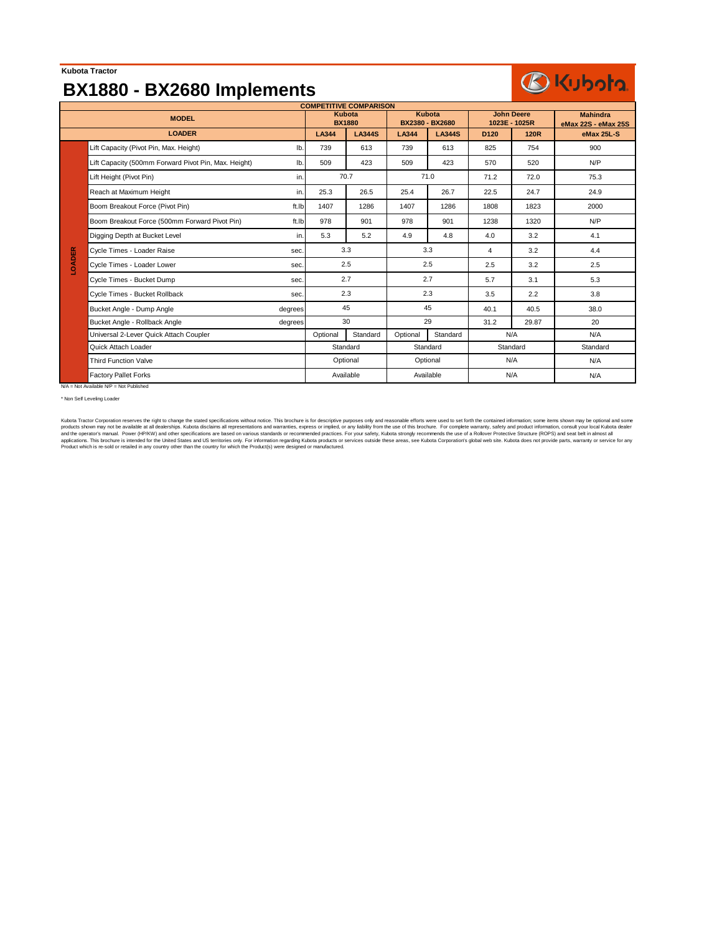### **Kubota Tractor**

## **BX1880 - BX2680 Implements**

# **BKubota**

| <b>COMPETITIVE COMPARISON</b> |                                                      |         |                         |                        |                                  |               |                                    |             |                                        |
|-------------------------------|------------------------------------------------------|---------|-------------------------|------------------------|----------------------------------|---------------|------------------------------------|-------------|----------------------------------------|
| <b>MODEL</b>                  |                                                      |         | Kubota<br><b>BX1880</b> |                        | <b>Kubota</b><br>BX2380 - BX2680 |               | <b>John Deere</b><br>1023E - 1025R |             | <b>Mahindra</b><br>eMax 22S - eMax 25S |
| <b>LOADER</b>                 |                                                      |         | LA344                   | <b>LA344S</b>          | LA344                            | <b>LA344S</b> | D <sub>120</sub>                   | <b>120R</b> | eMax 25L-S                             |
|                               | Lift Capacity (Pivot Pin, Max. Height)               | lb.     | 739                     | 613                    | 739                              | 613           | 825                                | 754         | 900                                    |
|                               | Lift Capacity (500mm Forward Pivot Pin, Max. Height) | lb.     | 509                     | 423                    | 509                              | 423           | 570                                | 520         | N/P                                    |
|                               | Lift Height (Pivot Pin)                              | in.     | 70.7                    |                        | 71.0                             |               | 71.2                               | 72.0        | 75.3                                   |
|                               | Reach at Maximum Height                              | in.     | 25.3                    | 26.5                   | 25.4                             | 26.7          | 22.5                               | 24.7        | 24.9                                   |
|                               | Boom Breakout Force (Pivot Pin)                      | ft.Ib   | 1407                    | 1286                   | 1407                             | 1286          | 1808                               | 1823        | 2000                                   |
|                               | Boom Breakout Force (500mm Forward Pivot Pin)        | ft.Ib   | 978                     | 901                    | 978                              | 901           | 1238                               | 1320        | N/P                                    |
|                               | Digging Depth at Bucket Level                        | in.     | 5.3                     | 5.2                    | 4.9                              | 4.8           | 4.0                                | 3.2         | 4.1                                    |
|                               | Cycle Times - Loader Raise                           | sec.    | 3.3                     |                        | 3.3                              |               | 4                                  | 3.2         | 4.4                                    |
| <b>LOADER</b>                 | Cycle Times - Loader Lower                           | sec.    | 2.5                     |                        | 2.5                              |               | 2.5                                | 3.2         | 2.5                                    |
|                               | Cycle Times - Bucket Dump                            | sec.    | 2.7                     |                        | 2.7                              |               | 5.7                                | 3.1         | 5.3                                    |
|                               | Cycle Times - Bucket Rollback                        | sec.    | 2.3                     |                        | 2.3                              |               | 3.5                                | 2.2         | 3.8                                    |
|                               | Bucket Angle - Dump Angle                            | degrees | 45                      |                        | 45                               |               | 40.1                               | 40.5        | 38.0                                   |
|                               | Bucket Angle - Rollback Angle                        | degrees | 30                      |                        | 29                               |               | 31.2                               | 29.87       | 20                                     |
|                               | Universal 2-Lever Quick Attach Coupler               |         | Optional                | Standard               | Optional                         | Standard      |                                    | N/A         | N/A                                    |
|                               | Quick Attach Loader                                  |         | Standard                |                        | Standard                         |               | Standard                           |             | Standard                               |
|                               | <b>Third Function Valve</b>                          |         |                         | Optional               |                                  | Optional      |                                    | N/A         | N/A                                    |
|                               | <b>Factory Pallet Forks</b>                          |         |                         | Available<br>Available |                                  |               | N/A                                |             | N/A                                    |
|                               | N/A = Not Available N/P = Not Published              |         |                         |                        |                                  |               |                                    |             |                                        |

\* Non Self Leveling Loader

Kubota Tractor Corporation reserves the right to change the stated specifications without notice. This brochure is for descriptive purposes only and reasonable efforts were used to set forth the contained information; some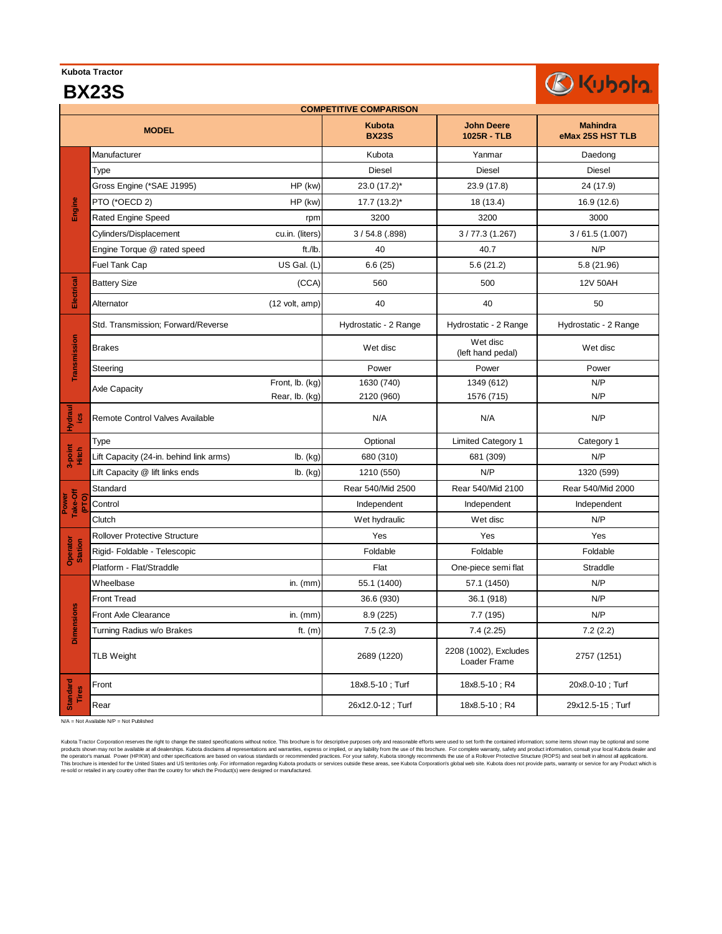#### **Kubota Tractor BX23S**

# BKubota

| <b>COMPETITIVE COMPARISON</b> |                                         |                                 |                               |                                       |                                     |  |  |  |
|-------------------------------|-----------------------------------------|---------------------------------|-------------------------------|---------------------------------------|-------------------------------------|--|--|--|
|                               | <b>MODEL</b>                            |                                 | <b>Kubota</b><br><b>BX23S</b> | <b>John Deere</b><br>1025R - TLB      | <b>Mahindra</b><br>eMax 25S HST TLB |  |  |  |
|                               | Manufacturer                            |                                 | Kubota                        | Yanmar                                | Daedong                             |  |  |  |
|                               | Type                                    |                                 | <b>Diesel</b>                 | Diesel                                | <b>Diesel</b>                       |  |  |  |
|                               | Gross Engine (*SAE J1995)               | $HP$ (kw)                       | 23.0 (17.2)*                  | 23.9 (17.8)                           | 24 (17.9)                           |  |  |  |
| Engine                        | PTO (*OECD 2)                           | HP (kw)                         | 17.7 (13.2)*                  | 18 (13.4)                             | 16.9 (12.6)                         |  |  |  |
|                               | Rated Engine Speed                      | rpm                             | 3200                          | 3200                                  | 3000                                |  |  |  |
|                               | Cylinders/Displacement                  | cu.in. (liters)                 | $3/54.8$ (.898)               | 3/77.3(1.267)                         | 3/61.5(1.007)                       |  |  |  |
|                               | Engine Torque @ rated speed             | ft./lb                          | 40                            | 40.7                                  | N/P                                 |  |  |  |
|                               | Fuel Tank Cap                           | US Gal. (L)                     | 6.6(25)                       | 5.6(21.2)                             | 5.8 (21.96)                         |  |  |  |
| Electrical                    | <b>Battery Size</b>                     | (CCA)                           | 560                           | 500                                   | 12V 50AH                            |  |  |  |
|                               | Alternator                              | $(12 \text{ volt}, \text{amp})$ | 40                            | 40                                    | 50                                  |  |  |  |
|                               | Std. Transmission; Forward/Reverse      |                                 | Hydrostatic - 2 Range         | Hydrostatic - 2 Range                 | Hydrostatic - 2 Range               |  |  |  |
| Transmission                  | <b>Brakes</b>                           |                                 | Wet disc                      | Wet disc<br>(left hand pedal)         | Wet disc                            |  |  |  |
|                               | Steering                                |                                 | Power                         | Power                                 | Power                               |  |  |  |
|                               | Axle Capacity                           | Front, lb. (kg)                 | 1630 (740)                    | 1349 (612)                            | N/P                                 |  |  |  |
|                               | Rear, lb. (kg)<br>2120 (960)            |                                 | 1576 (715)                    | N/P                                   |                                     |  |  |  |
| Hydraul<br>್ತಿ                | Remote Control Valves Available         |                                 | N/A                           | N/A                                   | N/P                                 |  |  |  |
|                               | Type                                    |                                 | Optional                      | <b>Limited Category 1</b>             | Category 1                          |  |  |  |
| 3-point<br>Hitch              | Lift Capacity (24-in. behind link arms) | lb. (kg)                        | 680 (310)                     | 681 (309)                             | N/P                                 |  |  |  |
|                               | Lift Capacity @ lift links ends         | lb. (kg)                        | 1210 (550)                    | N/P                                   | 1320 (599)                          |  |  |  |
|                               | Standard                                |                                 | Rear 540/Mid 2500             | Rear 540/Mid 2100                     | Rear 540/Mid 2000                   |  |  |  |
| Take-Off<br>Power             | Control                                 |                                 | Independent                   | Independent                           | Independent                         |  |  |  |
|                               | Clutch                                  |                                 | Wet hydraulic                 | Wet disc                              | N/P                                 |  |  |  |
|                               | <b>Rollover Protective Structure</b>    |                                 | Yes                           | Yes                                   | Yes                                 |  |  |  |
| Operator<br>Station           | Rigid- Foldable - Telescopic            |                                 | Foldable                      | Foldable                              | Foldable                            |  |  |  |
|                               | Platform - Flat/Straddle                |                                 | Flat                          | One-piece semi flat                   | Straddle                            |  |  |  |
|                               | Wheelbase                               | in. $(mm)$                      | 55.1 (1400)                   | 57.1 (1450)                           | N/P                                 |  |  |  |
|                               | <b>Front Tread</b>                      |                                 |                               | 36.1 (918)                            | N/P                                 |  |  |  |
|                               | <b>Front Axle Clearance</b>             | in. $(mm)$                      | 8.9(225)                      | 7.7(195)                              | N/P                                 |  |  |  |
| <b>Dimensions</b>             | Turning Radius w/o Brakes               | ft. $(m)$                       | 7.5(2.3)                      | 7.4(2.25)                             | 7.2(2.2)                            |  |  |  |
|                               | <b>TLB Weight</b>                       |                                 | 2689 (1220)                   | 2208 (1002), Excludes<br>Loader Frame | 2757 (1251)                         |  |  |  |
| <b>Standard</b><br>Tires      | Front                                   |                                 | 18x8.5-10; Turf               | 18x8.5-10; R4                         | 20x8.0-10; Turf                     |  |  |  |
|                               | Rear                                    |                                 | 26x12.0-12; Turf              | 18x8.5-10; R4                         | 29x12.5-15; Turf                    |  |  |  |

N/A = Not Available N/P = Not Published

Kubata Tractor Corporation reserves the right to charge the stated specifications without notice. This brochure is for descriptive purposes only and reasonable efforts with the cortain tend of the christmas income in the c